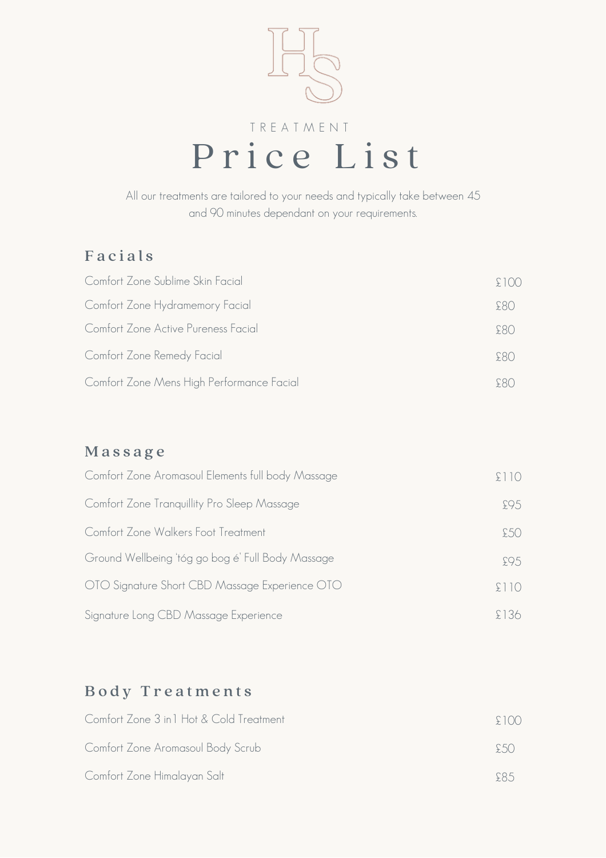

All our treatments are tailored to your needs and typically take between 45 and 90 minutes dependant on your requirements.

### **Facials**

| Comfort Zone Sublime Skin Facial          | 5(0) |
|-------------------------------------------|------|
| Comfort Zone Hydramemory Facial           | F(3) |
| Comfort Zone Active Pureness Facial       | S80  |
| Comfort Zone Remedy Facial                | 580  |
| Comfort Zone Mens High Performance Facial |      |

#### M a s s a g e

| Comfort Zone Aromasoul Elements full body Massage |       |
|---------------------------------------------------|-------|
| Comfort Zone Tranquillity Pro Sleep Massage       | 595   |
| Comfort Zone Walkers Foot Treatment               | £50.  |
| Ground Wellbeing 'tóg go bog é' Full Body Massage | 595   |
| OTO Signature Short CBD Massage Experience OTO    | 511() |
| Signature Long CBD Massage Experience             | 136.  |

# Body Treatments

| Comfort Zone 3 in 1 Hot & Cold Treatment | $\div$ 1()() |
|------------------------------------------|--------------|
| Comfort Zone Aromasoul Body Scrub        | 5.5()        |
| Comfort Zone Himalayan Salt              | F85          |